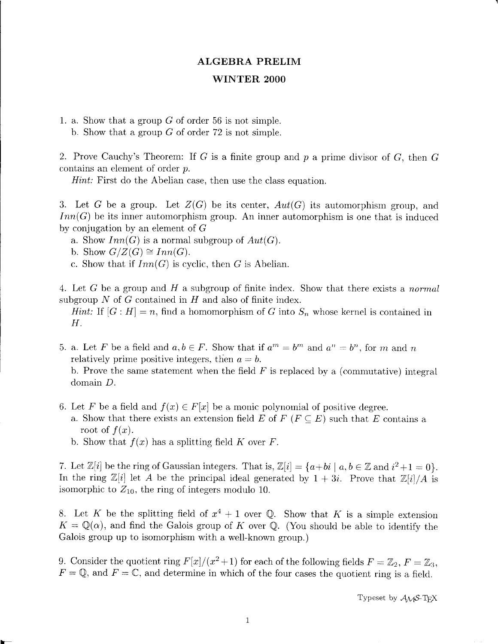## ALGEBRA PRELIM

## \MINTER 2OOO

1. a. Show that a group  $G$  of order 56 is not simple. b. Show that a group  $G$  of order 72 is not simple.

2. Prove Cauchy's Theorem: If G is a finite group and  $p$  a prime divisor of G, then G contains an element of order p.

 $Hint:$  First do the Abelian case, then use the class equation.

3. Let G be a group. Let  $Z(G)$  be its center,  $Aut(G)$  its automorphism group, and  $Inn(G)$  be its inner automorphism group. An inner automorphism is one that is induced by conjugation by an element of  $G$ 

- a. Show  $Inn(G)$  is a normal subgroup of  $Aut(G)$ .
- b. Show  $G/Z(G) \cong Inn(G)$ .
- c. Show that if  $Inn(G)$  is cyclic, then G is Abelian.

4. Let G be a group and H a subgroup of finite index. Show that there exists a *normal* subgroup  $N$  of  $G$  contained in  $H$  and also of finite index.

Hint: If  $[G : H] = n$ , find a homomorphism of G into  $S_n$  whose kernel is contained in H.

5. a. Let F be a field and  $a, b \in F$ . Show that if  $a^m = b^m$  and  $a^n = b^n$ , for m and n relatively prime positive integers, then  $a = b$ .

b. Prove the same statement when the field  $F$  is replaced by a (commutative) integral domain D.

- 6. Let F be a field and  $f(x) \in F[x]$  be a monic polynomial of positive degree.
	- a. Show that there exists an extension field E of  $F$  ( $F \subseteq E$ ) such that E contains a root of  $f(x)$ .
	- b. Show that  $f(x)$  has a splitting field K over F.

7. Let  $\mathbb{Z}[i]$  be the ring of Gaussian integers. That is,  $\mathbb{Z}[i]=\{a+bi \mid a,b \in \mathbb{Z} \text{ and } i^2+1=0\}.$ In the ring  $\mathbb{Z}[i]$  let A be the principal ideal generated by  $1+ 3i$ . Prove that  $\mathbb{Z}[i]/A$  is isomorphic to  $Z_{10}$ , the ring of integers modulo 10.

8. Let K be the splitting field of  $x^4 + 1$  over Q. Show that K is a simple extension  $K = \mathbb{Q}(\alpha)$ , and find the Galois group of K over  $\mathbb{Q}$ . (You should be able to identify the Galois group up to isomorphism with a well-known group.)

9. Consider the quotient ring  $F[x]/(x^2 + 1)$  for each of the following fields  $F = \mathbb{Z}_2, F = \mathbb{Z}_3,$  $F = \mathbb{Q}$ , and  $F = \mathbb{C}$ , and determine in which of the four cases the quotient ring is a field.

Typeset by  $A_{\mathcal{M}}S$ -T<sub>E</sub>X